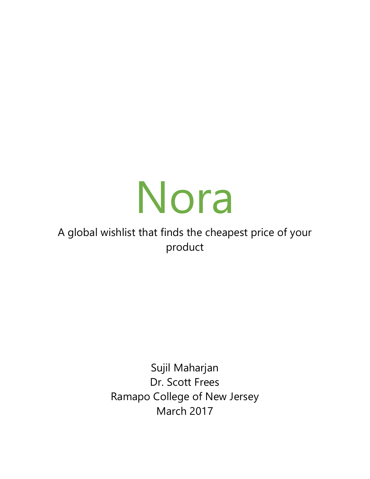# Nora

# A global wishlist that finds the cheapest price of your product

Sujil Maharjan Dr. Scott Frees Ramapo College of New Jersey March 2017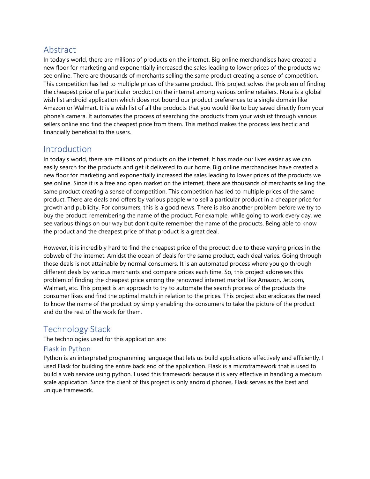# Abstract

In today's world, there are millions of products on the internet. Big online merchandises have created a new floor for marketing and exponentially increased the sales leading to lower prices of the products we see online. There are thousands of merchants selling the same product creating a sense of competition. This competition has led to multiple prices of the same product. This project solves the problem of finding the cheapest price of a particular product on the internet among various online retailers. Nora is a global wish list android application which does not bound our product preferences to a single domain like Amazon or Walmart. It is a wish list of all the products that you would like to buy saved directly from your phone's camera. It automates the process of searching the products from your wishlist through various sellers online and find the cheapest price from them. This method makes the process less hectic and financially beneficial to the users.

# Introduction

In today's world, there are millions of products on the internet. It has made our lives easier as we can easily search for the products and get it delivered to our home. Big online merchandises have created a new floor for marketing and exponentially increased the sales leading to lower prices of the products we see online. Since it is a free and open market on the internet, there are thousands of merchants selling the same product creating a sense of competition. This competition has led to multiple prices of the same product. There are deals and offers by various people who sell a particular product in a cheaper price for growth and publicity. For consumers, this is a good news. There is also another problem before we try to buy the product: remembering the name of the product. For example, while going to work every day, we see various things on our way but don't quite remember the name of the products. Being able to know the product and the cheapest price of that product is a great deal.

However, it is incredibly hard to find the cheapest price of the product due to these varying prices in the cobweb of the internet. Amidst the ocean of deals for the same product, each deal varies. Going through those deals is not attainable by normal consumers. It is an automated process where you go through different deals by various merchants and compare prices each time. So, this project addresses this problem of finding the cheapest price among the renowned internet market like Amazon, Jet.com, Walmart, etc. This project is an approach to try to automate the search process of the products the consumer likes and find the optimal match in relation to the prices. This project also eradicates the need to know the name of the product by simply enabling the consumers to take the picture of the product and do the rest of the work for them.

# Technology Stack

The technologies used for this application are:

#### Flask in Python

Python is an interpreted programming language that lets us build applications effectively and efficiently. I used Flask for building the entire back end of the application. Flask is a microframework that is used to build a web service using python. I used this framework because it is very effective in handling a medium scale application. Since the client of this project is only android phones, Flask serves as the best and unique framework.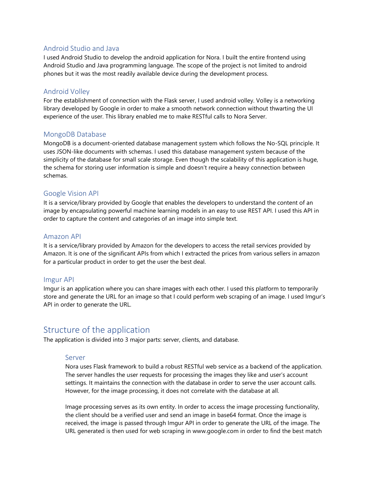#### Android Studio and Java

I used Android Studio to develop the android application for Nora. I built the entire frontend using Android Studio and Java programming language. The scope of the project is not limited to android phones but it was the most readily available device during the development process.

#### Android Volley

For the establishment of connection with the Flask server, I used android volley. Volley is a networking library developed by Google in order to make a smooth network connection without thwarting the UI experience of the user. This library enabled me to make RESTful calls to Nora Server.

#### MongoDB Database

MongoDB is a document-oriented database management system which follows the No-SQL principle. It uses JSON-like documents with schemas. I used this database management system because of the simplicity of the database for small scale storage. Even though the scalability of this application is huge, the schema for storing user information is simple and doesn't require a heavy connection between schemas.

#### Google Vision API

It is a service/library provided by Google that enables the developers to understand the content of an image by encapsulating powerful machine learning models in an easy to use REST API. I used this API in order to capture the content and categories of an image into simple text.

#### Amazon API

It is a service/library provided by Amazon for the developers to access the retail services provided by Amazon. It is one of the significant APIs from which I extracted the prices from various sellers in amazon for a particular product in order to get the user the best deal.

#### Imgur API

Imgur is an application where you can share images with each other. I used this platform to temporarily store and generate the URL for an image so that I could perform web scraping of an image. I used Imgur's API in order to generate the URL.

# Structure of the application

The application is divided into 3 major parts: server, clients, and database.

#### Server

Nora uses Flask framework to build a robust RESTful web service as a backend of the application. The server handles the user requests for processing the images they like and user's account settings. It maintains the connection with the database in order to serve the user account calls. However, for the image processing, it does not correlate with the database at all.

Image processing serves as its own entity. In order to access the image processing functionality, the client should be a verified user and send an image in base64 format. Once the image is received, the image is passed through Imgur API in order to generate the URL of the image. The URL generated is then used for web scraping in www.google.com in order to find the best match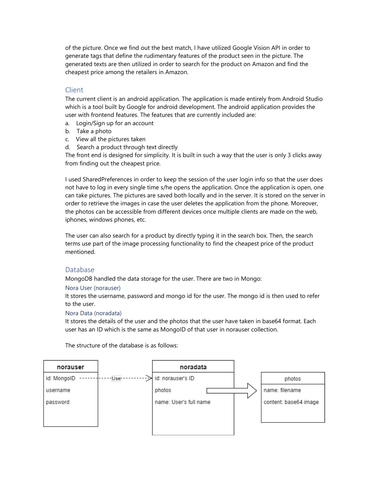of the picture. Once we find out the best match, I have utilized Google Vision API in order to generate tags that define the rudimentary features of the product seen in the picture. The generated texts are then utilized in order to search for the product on Amazon and find the cheapest price among the retailers in Amazon.

#### Client

The current client is an android application. The application is made entirely from Android Studio which is a tool built by Google for android development. The android application provides the user with frontend features. The features that are currently included are:

- a. Login/Sign up for an account
- b. Take a photo
- c. View all the pictures taken
- d. Search a product through text directly

The front end is designed for simplicity. It is built in such a way that the user is only 3 clicks away from finding out the cheapest price.

I used SharedPreferences in order to keep the session of the user login info so that the user does not have to log in every single time s/he opens the application. Once the application is open, one can take pictures. The pictures are saved both locally and in the server. It is stored on the server in order to retrieve the images in case the user deletes the application from the phone. Moreover, the photos can be accessible from different devices once multiple clients are made on the web, iphones, windows phones, etc.

The user can also search for a product by directly typing it in the search box. Then, the search terms use part of the image processing functionality to find the cheapest price of the product mentioned.

#### Database

MongoDB handled the data storage for the user. There are two in Mongo:

#### Nora User (norauser)

It stores the username, password and mongo id for the user. The mongo id is then used to refer to the user.

#### Nora Data (noradata)

It stores the details of the user and the photos that the user have taken in base64 format. Each user has an ID which is the same as MongoID of that user in norauser collection.

The structure of the database is as follows:

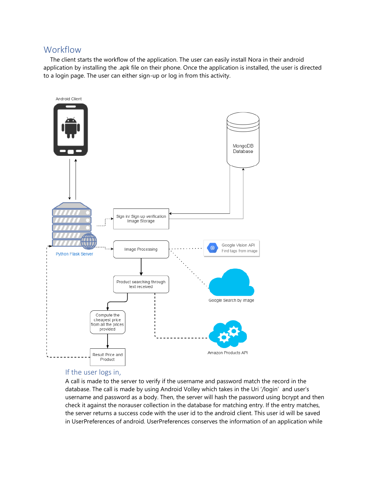# **Workflow**

 The client starts the workflow of the application. The user can easily install Nora in their android application by installing the .apk file on their phone. Once the application is installed, the user is directed to a login page. The user can either sign-up or log in from this activity.



#### If the user logs in,

A call is made to the server to verify if the username and password match the record in the database. The call is made by using Android Volley which takes in the Uri '/login' and user's username and password as a body. Then, the server will hash the password using bcrypt and then check it against the norauser collection in the database for matching entry. If the entry matches, the server returns a success code with the user id to the android client. This user id will be saved in UserPreferences of android. UserPreferences conserves the information of an application while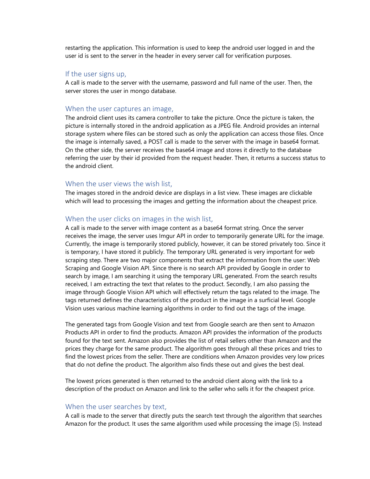restarting the application. This information is used to keep the android user logged in and the user id is sent to the server in the header in every server call for verification purposes.

#### If the user signs up,

A call is made to the server with the username, password and full name of the user. Then, the server stores the user in mongo database.

#### When the user captures an image,

The android client uses its camera controller to take the picture. Once the picture is taken, the picture is internally stored in the android application as a JPEG file. Android provides an internal storage system where files can be stored such as only the application can access those files. Once the image is internally saved, a POST call is made to the server with the image in base64 format. On the other side, the server receives the base64 image and stores it directly to the database referring the user by their id provided from the request header. Then, it returns a success status to the android client.

#### When the user views the wish list,

The images stored in the android device are displays in a list view. These images are clickable which will lead to processing the images and getting the information about the cheapest price.

#### When the user clicks on images in the wish list,

A call is made to the server with image content as a base64 format string. Once the server receives the image, the server uses Imgur API in order to temporarily generate URL for the image. Currently, the image is temporarily stored publicly, however, it can be stored privately too. Since it is temporary, I have stored it publicly. The temporary URL generated is very important for web scraping step. There are two major components that extract the information from the user: Web Scraping and Google Vision API. Since there is no search API provided by Google in order to search by image, I am searching it using the temporary URL generated. From the search results received, I am extracting the text that relates to the product. Secondly, I am also passing the image through Google Vision API which will effectively return the tags related to the image. The tags returned defines the characteristics of the product in the image in a surficial level. Google Vision uses various machine learning algorithms in order to find out the tags of the image.

The generated tags from Google Vision and text from Google search are then sent to Amazon Products API in order to find the products. Amazon API provides the information of the products found for the text sent. Amazon also provides the list of retail sellers other than Amazon and the prices they charge for the same product. The algorithm goes through all these prices and tries to find the lowest prices from the seller. There are conditions when Amazon provides very low prices that do not define the product. The algorithm also finds these out and gives the best deal.

The lowest prices generated is then returned to the android client along with the link to a description of the product on Amazon and link to the seller who sells it for the cheapest price.

#### When the user searches by text,

A call is made to the server that directly puts the search text through the algorithm that searches Amazon for the product. It uses the same algorithm used while processing the image (5). Instead